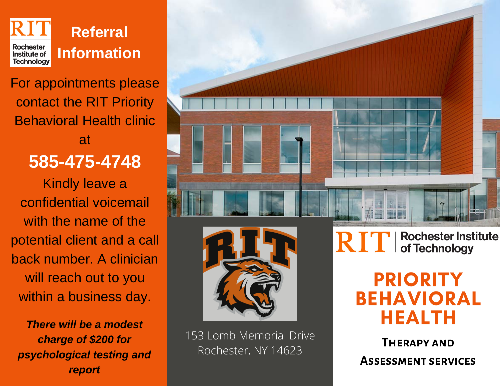

# For appointments please contact the RIT Priority Behavioral Health clinic at

## **585-475-4748**

Kindly leave a confidential voicemail with the name of the potential client and a call back number. A clinician will reach out to you within a business day.

*There will be a modest charge of \$200 for psychological testing and report*





153 Lomb Memorial Drive Rochester, NY 14623

**Rochester Institute<br>of Technology** RIT

> PRIORITY BEHAVIORAL HEALTH

**Therapy and Assessment services**